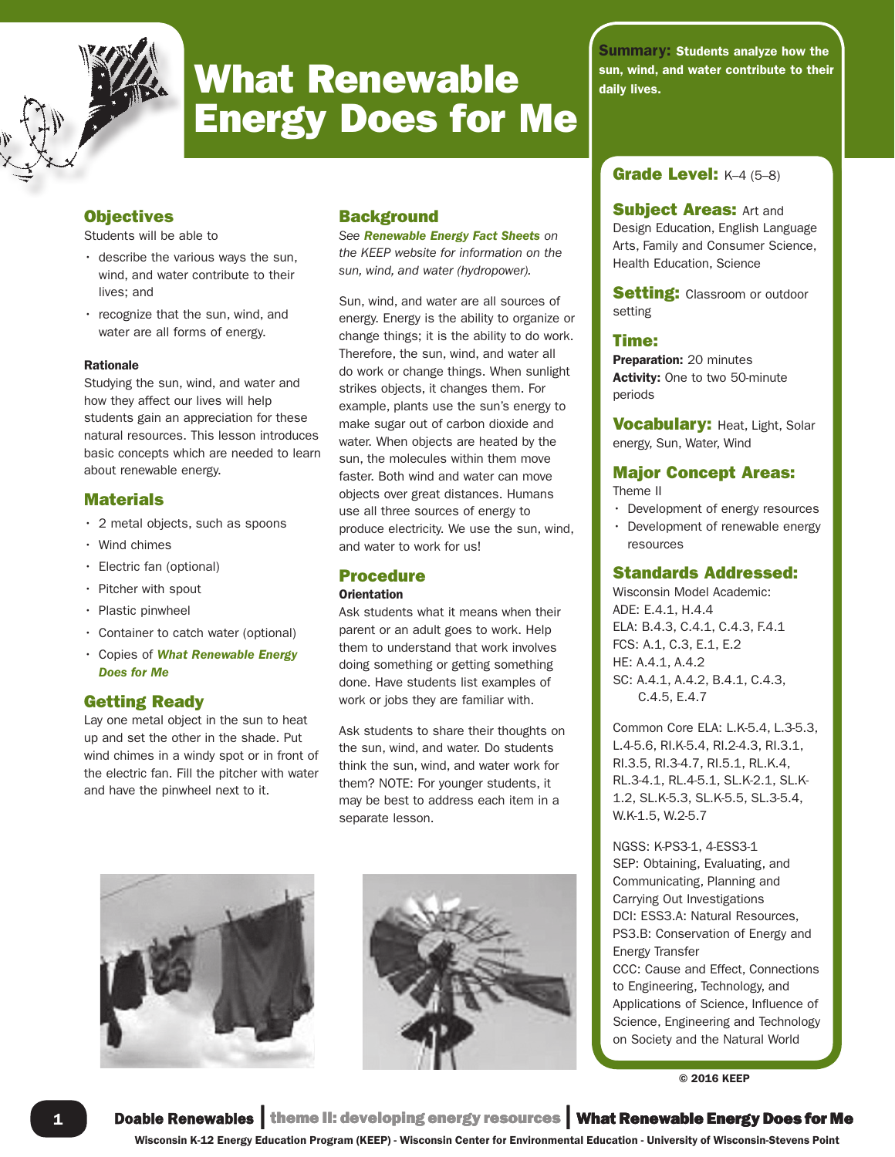

# **Energy Does for Me What Renewable**  $\sum_{\text{daily lives.}}$

# **Objectives**

Students will be able to

- describe the various ways the sun, wind, and water contribute to their lives; and
- recognize that the sun, wind, and water are all forms of energy.

#### Rationale

Studying the sun, wind, and water and how they affect our lives will help students gain an appreciation for these natural resources. This lesson introduces basic concepts which are needed to learn about renewable energy.

## **Materials**

- 2 metal objects, such as spoons
- Wind chimes
- Electric fan (optional)
- Pitcher with spout
- Plastic pinwheel
- Container to catch water (optional)
- Copies of *What Renewable Energy Does for Me*

### Getting Ready

Lay one metal object in the sun to heat up and set the other in the shade. Put wind chimes in a windy spot or in front of the electric fan. Fill the pitcher with water and have the pinwheel next to it.

# **Background**

*See Renewable Energy Fact Sheets on the KEEP website for information on the sun, wind, and water (hydropower).*

Sun, wind, and water are all sources of energy. Energy is the ability to organize or change things; it is the ability to do work. Therefore, the sun, wind, and water all do work or change things. When sunlight strikes objects, it changes them. For example, plants use the sun's energy to make sugar out of carbon dioxide and water. When objects are heated by the sun, the molecules within them move faster. Both wind and water can move objects over great distances. Humans use all three sources of energy to produce electricity. We use the sun, wind, and water to work for us!

### Procedure

#### **Orientation**

Ask students what it means when their parent or an adult goes to work. Help them to understand that work involves doing something or getting something done. Have students list examples of work or jobs they are familiar with.

Ask students to share their thoughts on the sun, wind, and water. Do students think the sun, wind, and water work for them? NOTE: For younger students, it may be best to address each item in a separate lesson.





Summary: Students analyze how the

**Subject Areas: Art and** Design Education, English Language Arts, Family and Consumer Science, Health Education, Science

**Setting:** Classroom or outdoor setting

#### Time:

Preparation: 20 minutes Activity: One to two 50-minute periods

**Vocabulary: Heat, Light, Solar** energy, Sun, Water, Wind

# Major Concept Areas:

Theme II

- Development of energy resources
- Development of renewable energy resources

### Standards Addressed:

Wisconsin Model Academic: ADE: E.4.1, H.4.4 ELA: B.4.3, C.4.1, C.4.3, F.4.1 FCS: A.1, C.3, E.1, E.2 HE: A.4.1, A.4.2 SC: A.4.1, A.4.2, B.4.1, C.4.3, C.4.5, E.4.7

Common Core ELA: L.K-5.4, L.3-5.3, L.4-5.6, RI.K-5.4, RI.2-4.3, RI.3.1, RI.3.5, RI.3-4.7, RI.5.1, RL.K.4, RL.3-4.1, RL.4-5.1, SL.K-2.1, SL.K-1.2, SL.K-5.3, SL.K-5.5, SL.3-5.4, W.K-1.5, W.2-5.7

**Grade Level:** K–4 (5–8)<br> **Subject Areas:** Art and<br>
Design Education, English Language<br>
Arts, Family and Consumer Science,<br>
Health Education, Science<br> **Setting:** Classroom or outdoor<br>
setting<br> **Time:**<br> **Proparation:** 20 mi NGSS: K-PS3-1, 4-ESS3-1 SEP: Obtaining, Evaluating, and Communicating, Planning and Carrying Out Investigations DCI: ESS3.A: Natural Resources, PS3.B: Conservation of Energy and Energy Transfer CCC: Cause and Effect, Connections to Engineering, Technology, and Applications of Science, Influence of Science, Engineering and Technology on Society and the Natural World

© 2016 KEEP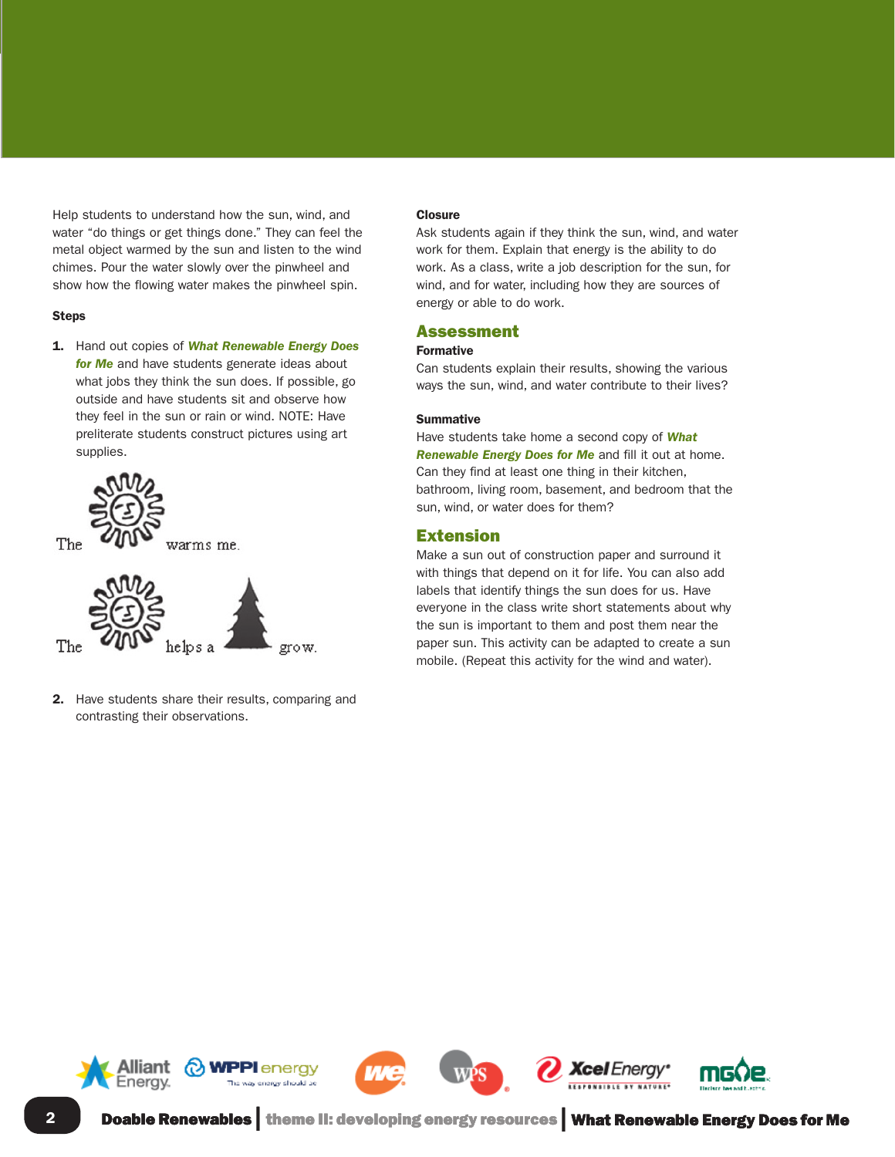water "do things or get things done." They can feel the metal object warmed by the sun and listen to the wind chimes. Pour the water slowly over the pinwheel and show how the flowing water makes the pinwheel spin.

#### Steps

1. Hand out copies of *What Renewable Energy Does for Me* and have students generate ideas about what jobs they think the sun does. If possible, go outside and have students sit and observe how they feel in the sun or rain or wind. NOTE: Have preliterate students construct pictures using art supplies.



2. Have students share their results, comparing and contrasting their observations.

#### **Closure**

Ask students again if they think the sun, wind, and water work for them. Explain that energy is the ability to do work. As a class, write a job description for the sun, for wind, and for water, including how they are sources of energy or able to do work.

#### Assessment

#### Formative

Can students explain their results, showing the various ways the sun, wind, and water contribute to their lives?

#### Summative

Have students take home a second copy of *What Renewable Energy Does for Me* and fill it out at home. Can they find at least one thing in their kitchen, bathroom, living room, basement, and bedroom that the sun, wind, or water does for them?

#### Extension

Make a sun out of construction paper and surround it with things that depend on it for life. You can also add labels that identify things the sun does for us. Have everyone in the class write short statements about why the sun is important to them and post them near the paper sun. This activity can be adapted to create a sun mobile. (Repeat this activity for the wind and water).